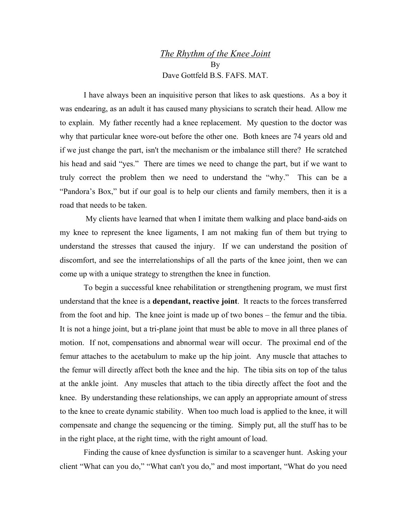## *The Rhythm of the Knee Joint* By Dave Gottfeld B.S. FAFS. MAT.

I have always been an inquisitive person that likes to ask questions. As a boy it was endearing, as an adult it has caused many physicians to scratch their head. Allow me to explain. My father recently had a knee replacement. My question to the doctor was why that particular knee wore-out before the other one. Both knees are 74 years old and if we just change the part, isn't the mechanism or the imbalance still there? He scratched his head and said "yes." There are times we need to change the part, but if we want to truly correct the problem then we need to understand the "why." This can be a "Pandora's Box," but if our goal is to help our clients and family members, then it is a road that needs to be taken.

 My clients have learned that when I imitate them walking and place band-aids on my knee to represent the knee ligaments, I am not making fun of them but trying to understand the stresses that caused the injury. If we can understand the position of discomfort, and see the interrelationships of all the parts of the knee joint, then we can come up with a unique strategy to strengthen the knee in function.

To begin a successful knee rehabilitation or strengthening program, we must first understand that the knee is a **dependant, reactive joint**. It reacts to the forces transferred from the foot and hip. The knee joint is made up of two bones – the femur and the tibia. It is not a hinge joint, but a tri-plane joint that must be able to move in all three planes of motion. If not, compensations and abnormal wear will occur. The proximal end of the femur attaches to the acetabulum to make up the hip joint. Any muscle that attaches to the femur will directly affect both the knee and the hip. The tibia sits on top of the talus at the ankle joint. Any muscles that attach to the tibia directly affect the foot and the knee. By understanding these relationships, we can apply an appropriate amount of stress to the knee to create dynamic stability. When too much load is applied to the knee, it will compensate and change the sequencing or the timing. Simply put, all the stuff has to be in the right place, at the right time, with the right amount of load.

Finding the cause of knee dysfunction is similar to a scavenger hunt. Asking your client "What can you do," "What can't you do," and most important, "What do you need